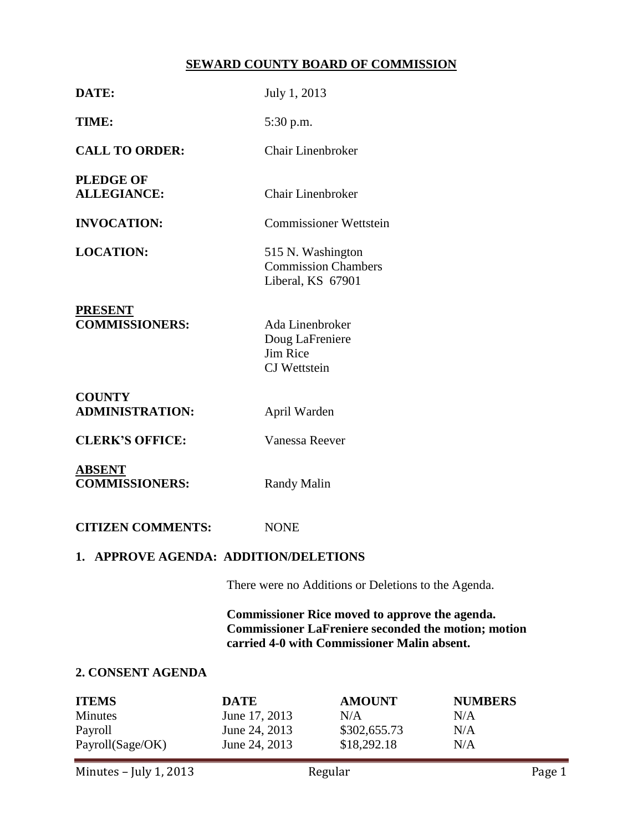# **SEWARD COUNTY BOARD OF COMMISSION**

| DATE:                                                         | July 1, 2013                                                                                                                                                |                                                                      |                                     |  |
|---------------------------------------------------------------|-------------------------------------------------------------------------------------------------------------------------------------------------------------|----------------------------------------------------------------------|-------------------------------------|--|
| TIME:                                                         |                                                                                                                                                             | 5:30 p.m.                                                            |                                     |  |
| <b>CALL TO ORDER:</b>                                         | <b>Chair Linenbroker</b>                                                                                                                                    |                                                                      |                                     |  |
| <b>PLEDGE OF</b><br><b>ALLEGIANCE:</b>                        | <b>Chair Linenbroker</b>                                                                                                                                    |                                                                      |                                     |  |
| <b>INVOCATION:</b>                                            | <b>Commissioner Wettstein</b>                                                                                                                               |                                                                      |                                     |  |
| <b>LOCATION:</b>                                              |                                                                                                                                                             | 515 N. Washington<br><b>Commission Chambers</b><br>Liberal, KS 67901 |                                     |  |
| <b>PRESENT</b><br><b>COMMISSIONERS:</b>                       | Ada Linenbroker<br>Doug LaFreniere<br>Jim Rice<br><b>CJ</b> Wettstein                                                                                       |                                                                      |                                     |  |
| <b>COUNTY</b><br><b>ADMINISTRATION:</b>                       | April Warden                                                                                                                                                |                                                                      |                                     |  |
| <b>CLERK'S OFFICE:</b>                                        | Vanessa Reever                                                                                                                                              |                                                                      |                                     |  |
| <b>ABSENT</b><br><b>COMMISSIONERS:</b>                        | <b>Randy Malin</b>                                                                                                                                          |                                                                      |                                     |  |
| <b>CITIZEN COMMENTS:</b>                                      | <b>NONE</b>                                                                                                                                                 |                                                                      |                                     |  |
| 1. APPROVE AGENDA: ADDITION/DELETIONS                         |                                                                                                                                                             |                                                                      |                                     |  |
|                                                               | There were no Additions or Deletions to the Agenda.                                                                                                         |                                                                      |                                     |  |
|                                                               | Commissioner Rice moved to approve the agenda.<br><b>Commissioner LaFreniere seconded the motion; motion</b><br>carried 4-0 with Commissioner Malin absent. |                                                                      |                                     |  |
| 2. CONSENT AGENDA                                             |                                                                                                                                                             |                                                                      |                                     |  |
| <b>ITEMS</b><br><b>Minutes</b><br>Payroll<br>Payroll(Sage/OK) | <b>DATE</b><br>June 17, 2013<br>June 24, 2013<br>June 24, 2013                                                                                              | <b>AMOUNT</b><br>N/A<br>\$302,655.73<br>\$18,292.18                  | <b>NUMBERS</b><br>N/A<br>N/A<br>N/A |  |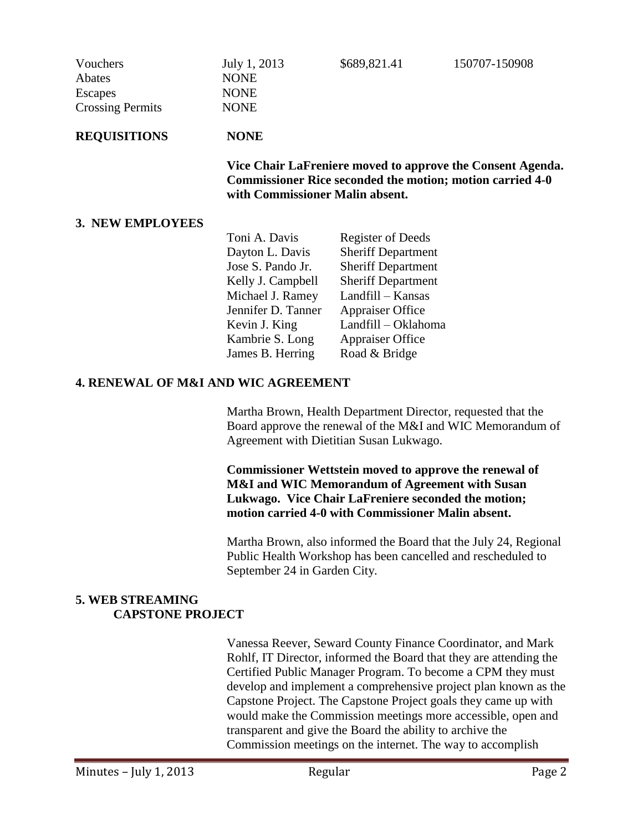| Vouchers<br>Abates<br>Escapes<br><b>Crossing Permits</b> | July 1, 2013<br><b>NONE</b><br><b>NONE</b><br><b>NONE</b>                                                                                                         | \$689,821.41              | 150707-150908 |
|----------------------------------------------------------|-------------------------------------------------------------------------------------------------------------------------------------------------------------------|---------------------------|---------------|
| <b>REQUISITIONS</b>                                      | <b>NONE</b>                                                                                                                                                       |                           |               |
|                                                          | Vice Chair LaFreniere moved to approve the Consent Agenda.<br><b>Commissioner Rice seconded the motion; motion carried 4-0</b><br>with Commissioner Malin absent. |                           |               |
| 3. NEW EMPLOYEES                                         |                                                                                                                                                                   |                           |               |
|                                                          | Toni A. Davis                                                                                                                                                     | <b>Register of Deeds</b>  |               |
|                                                          | Dayton L. Davis                                                                                                                                                   | <b>Sheriff Department</b> |               |
|                                                          | Jose S. Pando Jr.                                                                                                                                                 | <b>Sheriff Department</b> |               |
|                                                          | Kelly J. Campbell                                                                                                                                                 | <b>Sheriff Department</b> |               |
|                                                          | Michael J. Ramey                                                                                                                                                  | Landfill – Kansas         |               |
|                                                          | Jennifer D. Tanner                                                                                                                                                | <b>Appraiser Office</b>   |               |
|                                                          | Kevin J. King                                                                                                                                                     | Landfill – Oklahoma       |               |
|                                                          | Kambrie S. Long                                                                                                                                                   | <b>Appraiser Office</b>   |               |
|                                                          | James B. Herring                                                                                                                                                  | Road & Bridge             |               |

#### **4. RENEWAL OF M&I AND WIC AGREEMENT**

Martha Brown, Health Department Director, requested that the Board approve the renewal of the M&I and WIC Memorandum of Agreement with Dietitian Susan Lukwago.

**Commissioner Wettstein moved to approve the renewal of M&I and WIC Memorandum of Agreement with Susan Lukwago. Vice Chair LaFreniere seconded the motion; motion carried 4-0 with Commissioner Malin absent.**

Martha Brown, also informed the Board that the July 24, Regional Public Health Workshop has been cancelled and rescheduled to September 24 in Garden City.

### **5. WEB STREAMING CAPSTONE PROJECT**

Vanessa Reever, Seward County Finance Coordinator, and Mark Rohlf, IT Director, informed the Board that they are attending the Certified Public Manager Program. To become a CPM they must develop and implement a comprehensive project plan known as the Capstone Project. The Capstone Project goals they came up with would make the Commission meetings more accessible, open and transparent and give the Board the ability to archive the Commission meetings on the internet. The way to accomplish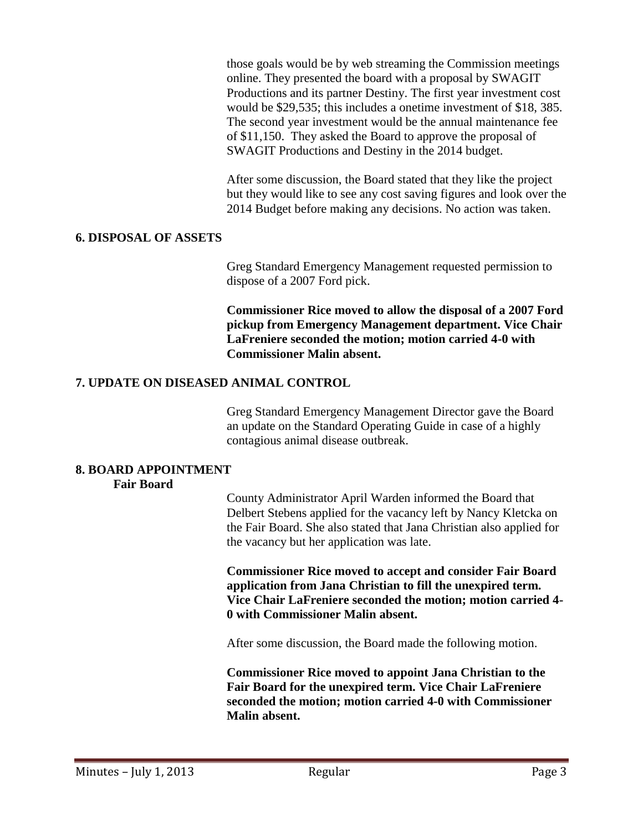those goals would be by web streaming the Commission meetings online. They presented the board with a proposal by SWAGIT Productions and its partner Destiny. The first year investment cost would be \$29,535; this includes a onetime investment of \$18, 385. The second year investment would be the annual maintenance fee of \$11,150. They asked the Board to approve the proposal of SWAGIT Productions and Destiny in the 2014 budget.

After some discussion, the Board stated that they like the project but they would like to see any cost saving figures and look over the 2014 Budget before making any decisions. No action was taken.

#### **6. DISPOSAL OF ASSETS**

Greg Standard Emergency Management requested permission to dispose of a 2007 Ford pick.

**Commissioner Rice moved to allow the disposal of a 2007 Ford pickup from Emergency Management department. Vice Chair LaFreniere seconded the motion; motion carried 4-0 with Commissioner Malin absent.**

#### **7. UPDATE ON DISEASED ANIMAL CONTROL**

Greg Standard Emergency Management Director gave the Board an update on the Standard Operating Guide in case of a highly contagious animal disease outbreak.

#### **8. BOARD APPOINTMENT Fair Board**

County Administrator April Warden informed the Board that Delbert Stebens applied for the vacancy left by Nancy Kletcka on the Fair Board. She also stated that Jana Christian also applied for the vacancy but her application was late.

**Commissioner Rice moved to accept and consider Fair Board application from Jana Christian to fill the unexpired term. Vice Chair LaFreniere seconded the motion; motion carried 4- 0 with Commissioner Malin absent.**

After some discussion, the Board made the following motion.

**Commissioner Rice moved to appoint Jana Christian to the Fair Board for the unexpired term. Vice Chair LaFreniere seconded the motion; motion carried 4-0 with Commissioner Malin absent.**